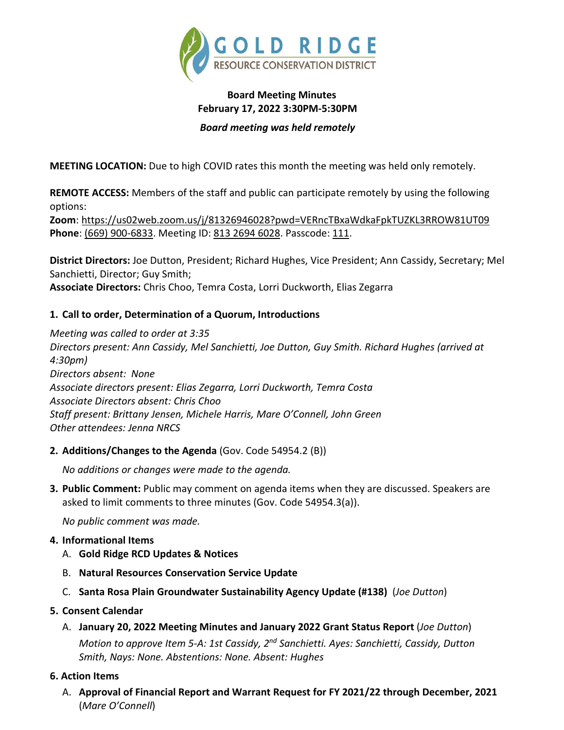

# **Board Meeting Minutes February 17, 2022 3:30PM-5:30PM**

### *Board meeting was held remotely*

**MEETING LOCATION:** Due to high COVID rates this month the meeting was held only remotely.

**REMOTE ACCESS:** Members of the staff and public can participate remotely by using the following options:

**Zoom**: <https://us02web.zoom.us/j/81326946028?pwd=VERncTBxaWdkaFpkTUZKL3RROW81UT09> **Phone**: (669) 900-6833. Meeting ID: 813 2694 6028. Passcode: 111.

**District Directors:** Joe Dutton, President; Richard Hughes, Vice President; Ann Cassidy, Secretary; Mel Sanchietti, Director; Guy Smith; **Associate Directors:** Chris Choo, Temra Costa, Lorri Duckworth, Elias Zegarra

## **1. Call to order, Determination of a Quorum, Introductions**

*Meeting was called to order at 3:35 Directors present: Ann Cassidy, Mel Sanchietti, Joe Dutton, Guy Smith. Richard Hughes (arrived at 4:30pm) Directors absent: None Associate directors present: Elias Zegarra, Lorri Duckworth, Temra Costa Associate Directors absent: Chris Choo Staff present: Brittany Jensen, Michele Harris, Mare O'Connell, John Green Other attendees: Jenna NRCS*

**2. Additions/Changes to the Agenda** (Gov. Code 54954.2 (B))

*No additions or changes were made to the agenda.*

**3. Public Comment:** Public may comment on agenda items when they are discussed. Speakers are asked to limit comments to three minutes (Gov. Code 54954.3(a)).

*No public comment was made.*

## **4. Informational Items**

- A. **Gold Ridge RCD Updates & Notices**
- B. **Natural Resources Conservation Service Update**
- C. **Santa Rosa Plain Groundwater Sustainability Agency Update (#138)** (*Joe Dutton*)

## **5. Consent Calendar**

A. **January 20, 2022 Meeting Minutes and January 2022 Grant Status Report** (*Joe Dutton*)

*Motion to approve Item 5-A: 1st Cassidy, 2nd Sanchietti. Ayes: Sanchietti, Cassidy, Dutton Smith, Nays: None. Abstentions: None. Absent: Hughes*

## **6. Action Items**

A. **Approval of Financial Report and Warrant Request for FY 2021/22 through December, 2021** (*Mare O'Connell*)